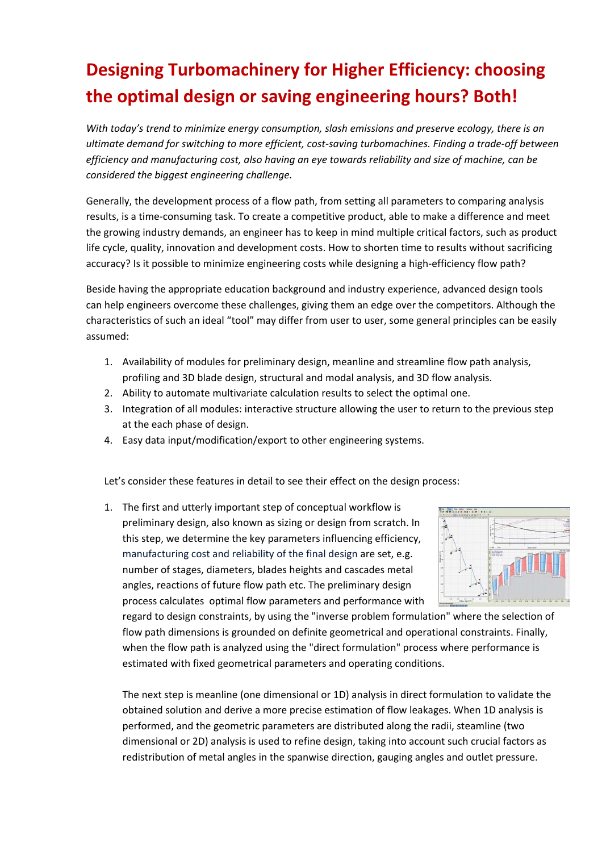## **Designing Turbomachinery for Higher Efficiency: choosing the optimal design or saving engineering hours? Both!**

*With today's trend to minimize energy consumption, slash emissions and preserve ecology, there is an ultimate demand for switching to more efficient, cost‐saving turbomachines. Finding a trade‐off between efficiency and manufacturing cost, also having an eye towards reliability and size of machine, can be considered the biggest engineering challenge.*

Generally, the development process of a flow path, from setting all parameters to comparing analysis results, is a time‐consuming task. To create a competitive product, able to make a difference and meet the growing industry demands, an engineer has to keep in mind multiple critical factors, such as product life cycle, quality, innovation and development costs. How to shorten time to results without sacrificing accuracy? Is it possible to minimize engineering costs while designing a high-efficiency flow path?

Beside having the appropriate education background and industry experience, advanced design tools can help engineers overcome these challenges, giving them an edge over the competitors. Although the characteristics of such an ideal "tool" may differ from user to user, some general principles can be easily assumed:

- 1. Availability of modules for preliminary design, meanline and streamline flow path analysis, profiling and 3D blade design, structural and modal analysis, and 3D flow analysis.
- 2. Ability to automate multivariate calculation results to select the optimal one.
- 3. Integration of all modules: interactive structure allowing the user to return to the previous step at the each phase of design.
- 4. Easy data input/modification/export to other engineering systems.

Let's consider these features in detail to see their effect on the design process:

1. The first and utterly important step of conceptual workflow is preliminary design, also known as sizing or design from scratch. In this step, we determine the key parameters influencing efficiency, manufacturing cost and reliability of the final design are set, e.g. number of stages, diameters, blades heights and cascades metal angles, reactions of future flow path etc. The preliminary design process calculates optimal flow parameters and performance with



regard to design constraints, by using the "inverse problem formulation" where the selection of flow path dimensions is grounded on definite geometrical and operational constraints. Finally, when the flow path is analyzed using the "direct formulation" process where performance is estimated with fixed geometrical parameters and operating conditions.

The next step is meanline (one dimensional or 1D) analysis in direct formulation to validate the obtained solution and derive a more precise estimation of flow leakages. When 1D analysis is performed, and the geometric parameters are distributed along the radii, steamline (two dimensional or 2D) analysis is used to refine design, taking into account such crucial factors as redistribution of metal angles in the spanwise direction, gauging angles and outlet pressure.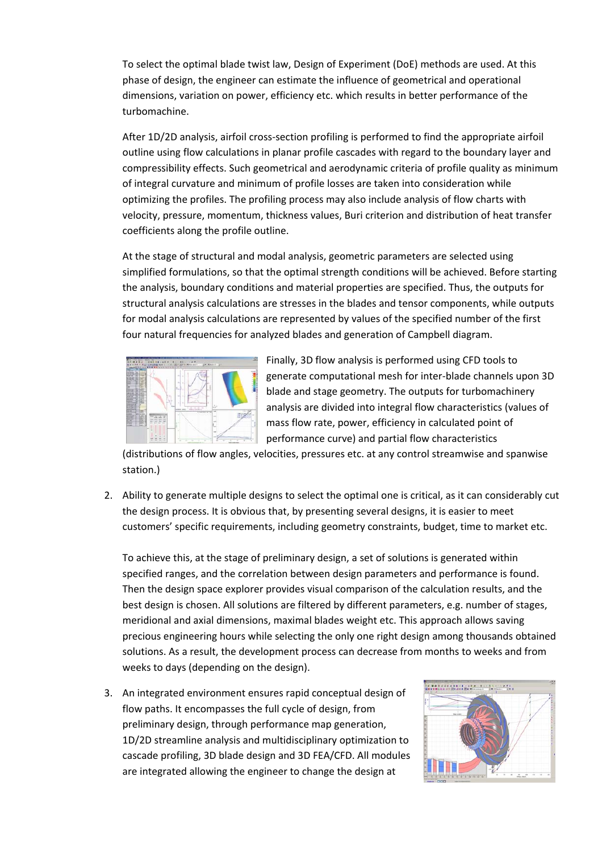To select the optimal blade twist law, Design of Experiment (DoE) methods are used. At this phase of design, the engineer can estimate the influence of geometrical and operational dimensions, variation on power, efficiency etc. which results in better performance of the turbomachine.

After 1D/2D analysis, airfoil cross‐section profiling is performed to find the appropriate airfoil outline using flow calculations in planar profile cascades with regard to the boundary layer and compressibility effects. Such geometrical and aerodynamic criteria of profile quality as minimum of integral curvature and minimum of profile losses are taken into consideration while optimizing the profiles. The profiling process may also include analysis of flow charts with velocity, pressure, momentum, thickness values, Buri criterion and distribution of heat transfer coefficients along the profile outline.

At the stage of structural and modal analysis, geometric parameters are selected using simplified formulations, so that the optimal strength conditions will be achieved. Before starting the analysis, boundary conditions and material properties are specified. Thus, the outputs for structural analysis calculations are stresses in the blades and tensor components, while outputs for modal analysis calculations are represented by values of the specified number of the first four natural frequencies for analyzed blades and generation of Campbell diagram.



Finally, 3D flow analysis is performed using CFD tools to generate computational mesh for inter‐blade channels upon 3D blade and stage geometry. The outputs for turbomachinery analysis are divided into integral flow characteristics (values of mass flow rate, power, efficiency in calculated point of performance curve) and partial flow characteristics

(distributions of flow angles, velocities, pressures etc. at any control streamwise and spanwise station.)

2. Ability to generate multiple designs to select the optimal one is critical, as it can considerably cut the design process. It is obvious that, by presenting several designs, it is easier to meet customers' specific requirements, including geometry constraints, budget, time to market etc.

To achieve this, at the stage of preliminary design, a set of solutions is generated within specified ranges, and the correlation between design parameters and performance is found. Then the design space explorer provides visual comparison of the calculation results, and the best design is chosen. All solutions are filtered by different parameters, e.g. number of stages, meridional and axial dimensions, maximal blades weight etc. This approach allows saving precious engineering hours while selecting the only one right design among thousands obtained solutions. As a result, the development process can decrease from months to weeks and from weeks to days (depending on the design).

3. An integrated environment ensures rapid conceptual design of flow paths. It encompasses the full cycle of design, from preliminary design, through performance map generation, 1D/2D streamline analysis and multidisciplinary optimization to cascade profiling, 3D blade design and 3D FEA/CFD. All modules are integrated allowing the engineer to change the design at